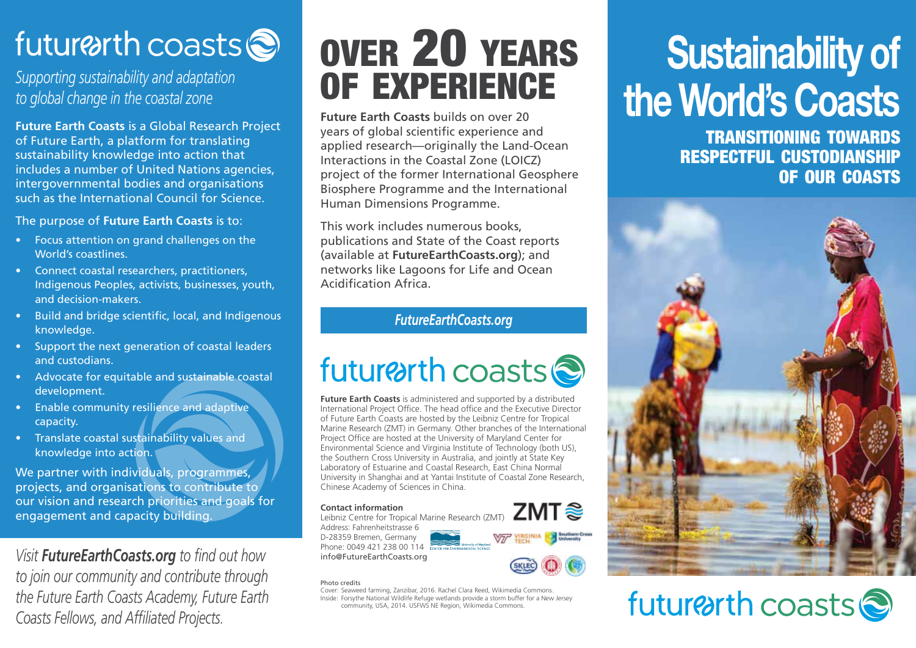## future th coasts

*Supporting sustainability and adaptation to global change in the coastal zone*

**Future Earth Coasts** is a Global Research Project of Future Earth, a platform for translating sustainability knowledge into action that includes a number of United Nations agencies, intergovernmental bodies and organisations such as the International Council for Science.

The purpose of **Future Earth Coasts** is to:

- Focus attention on grand challenges on the World's coastlines.
- Connect coastal researchers, practitioners, Indigenous Peoples, activists, businesses, youth, and decision-makers.
- Build and bridge scientific, local, and Indigenous knowledge.
- Support the next generation of coastal leaders and custodians.
- Advocate for equitable and sustainable coastal development.
- Enable community resilience and adaptive capacity.
- Translate coastal sustainability values and knowledge into action.

We partner with individuals, programmes, projects, and organisations to contribute to our vision and research priorities and goals for engagement and capacity building.

*Visit FutureEarthCoasts.org to find out how to join our community and contribute through the Future Earth Coasts Academy, Future Earth Coasts Fellows, and Affiliated Projects.*

## over 20 years of experience

**Future Earth Coasts** builds on over 20 years of global scientific experience and applied research—originally the Land-Ocean Interactions in the Coastal Zone (LOICZ) project of the former International Geosphere Biosphere Programme and the International Human Dimensions Programme.

This work includes numerous books, publications and State of the Coast reports (available at **FutureEarthCoasts.org**); and networks like Lagoons for Life and Ocean Acidification Africa.

### *FutureEarthCoasts.org*

### future th coasts

**Future Earth Coasts** is administered and supported by a distributed International Project Office. The head office and the Executive Director of Future Earth Coasts are hosted by the Leibniz Centre for Tropical Marine Research (ZMT) in Germany. Other branches of the International Project Office are hosted at the University of Maryland Center for Environmental Science and Virginia Institute of Technology (both US), the Southern Cross University in Australia, and jointly at State Key Laboratory of Estuarine and Coastal Research, East China Normal University in Shanghai and at Yantai Institute of Coastal Zone Research, Chinese Academy of Sciences in China.

#### **Contact information**

ZMT Leibniz Centre for Tropical Marine Research (ZMT) Address: Fahrenheitstrasse 6 D-28359 Bremen, Germany Phone: 0049 421 238 00 114 info@FutureEarthCoasts.org

#### Photo credits

Cover: Seaweed farming, Zanzibar, 2016. Rachel Clara Reed, Wikimedia Commons. Inside: Forsythe National Wildlife Refuge wetlands provide a storm buffer for a New Jersey community, USA, 2014. USFWS NE Region, Wikimedia Commons.

# **Sustainability of the World's Coasts**

transitioning towards respectful custodianship of our coasts



## future th coasts